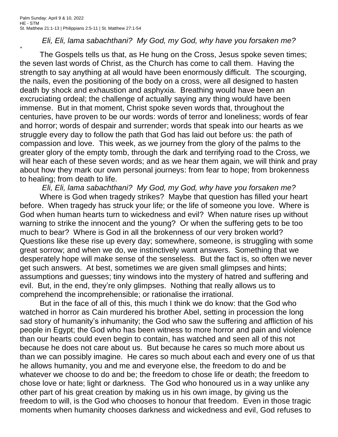$+$ 

*Eli, Eli, lama sabachthani? My God, my God, why have you forsaken me?*

The Gospels tells us that, as He hung on the Cross, Jesus spoke seven times; the seven last words of Christ, as the Church has come to call them. Having the strength to say anything at all would have been enormously difficult. The scourging, the nails, even the positioning of the body on a cross, were all designed to hasten death by shock and exhaustion and asphyxia. Breathing would have been an excruciating ordeal; the challenge of actually saying any thing would have been immense. But in that moment, Christ spoke seven words that, throughout the centuries, have proven to be our words: words of terror and loneliness; words of fear and horror; words of despair and surrender; words that speak into our hearts as we struggle every day to follow the path that God has laid out before us: the path of compassion and love. This week, as we journey from the glory of the palms to the greater glory of the empty tomb, through the dark and terrifying road to the Cross, we will hear each of these seven words; and as we hear them again, we will think and pray about how they mark our own personal journeys: from fear to hope; from brokenness to healing; from death to life.

*Eli, Eli, lama sabachthani? My God, my God, why have you forsaken me?* Where is God when tragedy strikes? Maybe that question has filled your heart before. When tragedy has struck your life; or the life of someone you love. Where is God when human hearts turn to wickedness and evil? When nature rises up without warning to strike the innocent and the young? Or when the suffering gets to be too much to bear? Where is God in all the brokenness of our very broken world? Questions like these rise up every day; somewhere, someone, is struggling with some great sorrow; and when we do, we instinctively want answers. Something that we desperately hope will make sense of the senseless. But the fact is, so often we never get such answers. At best, sometimes we are given small glimpses and hints; assumptions and guesses; tiny windows into the mystery of hatred and suffering and evil. But, in the end, they're only glimpses. Nothing that really allows us to comprehend the incomprehensible; or rationalise the irrational.

But in the face of all of this, this much I think we do know: that the God who watched in horror as Cain murdered his brother Abel, setting in procession the long sad story of humanity's inhumanity; the God who saw the suffering and affliction of his people in Egypt; the God who has been witness to more horror and pain and violence than our hearts could even begin to contain, has watched and seen all of this not because he does not care about us. But because he cares so much more about us than we can possibly imagine. He cares so much about each and every one of us that he allows humanity, you and me and everyone else, the freedom to do and be whatever we choose to do and be; the freedom to chose life or death; the freedom to chose love or hate; light or darkness. The God who honoured us in a way unlike any other part of his great creation by making us in his own image, by giving us the freedom to will, is the God who chooses to honour that freedom. Even in those tragic moments when humanity chooses darkness and wickedness and evil, God refuses to